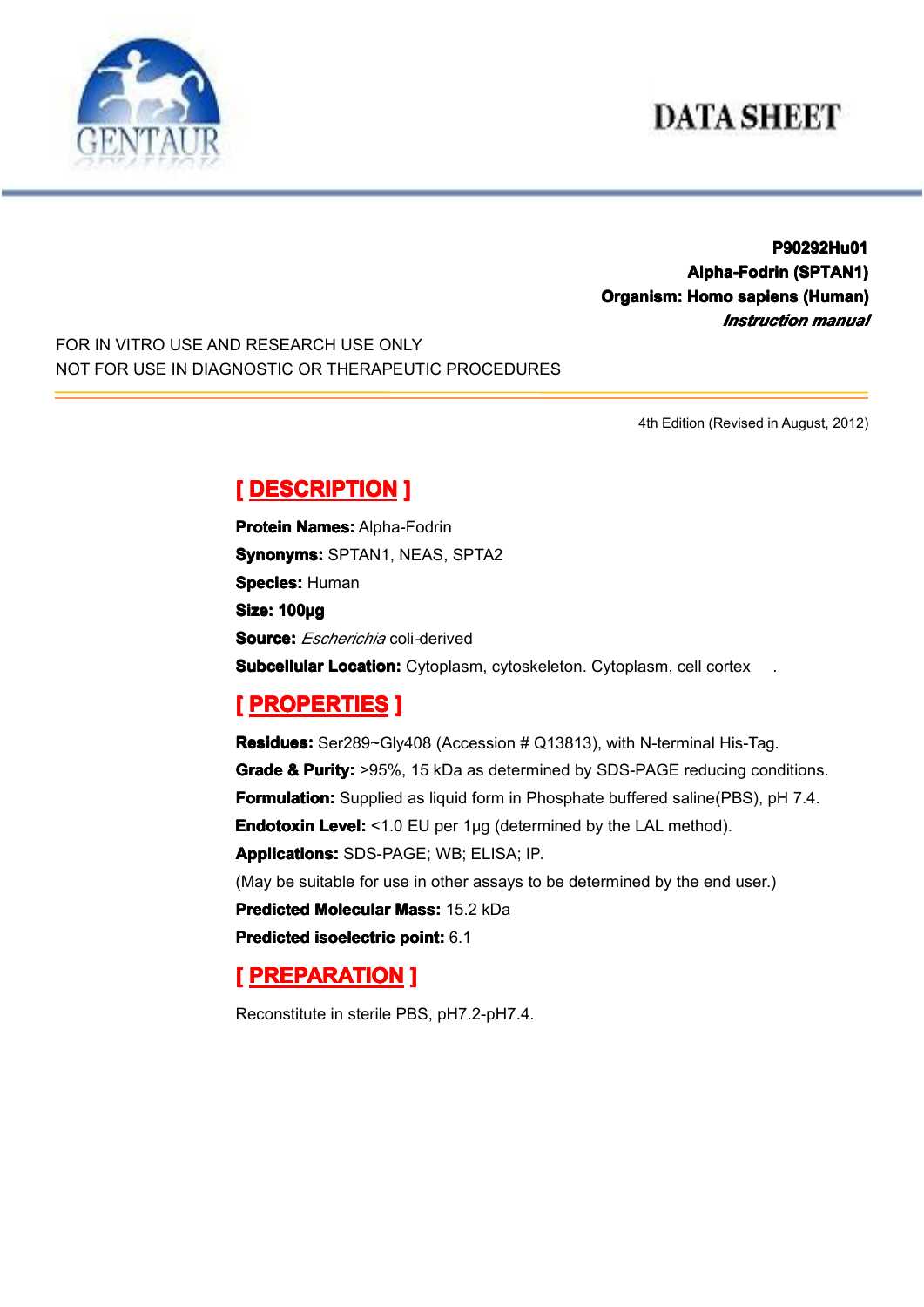# **DATA SHEET**



**P90292Hu01 P90292Hu01 Alpha-Fodrin Alpha-Fodrin(SPTAN1) (SPTAN1) Organism: Homo sapiens (Human) (Human)** *Instruction manual*

FOR IN VITRO USE AND RESEARCH USE ONLY NOT FOR USE IN DIAGNOSTIC OR THERAPEUTIC PROCEDURES

4th Edition (Revised in August, 2012)

## $[$  **DESCRIPTION** ]

**Protein Names: Alpha-Fodrin Synonyms: SPTAN1, NEAS, SPTA2 Species: Human Size: 100µg Source:** *Escherichia* coli*-*derived **Subcellular Location:** Cytoplasm, cytoskeleton. Cytoplasm, cell cortex

#### **[ PROPERTIES ROPERTIES ROPERTIES]**

**Residues:** Ser289~Gly408 (Accession # Q13813), with N-terminal His-Tag. **Grade & Purity:** >95%, 15 kDa as determined by SDS-PAGE reducing conditions. **Formulation:** Supplied as liquid form in Phosphate buffered saline(PBS), pH 7.4. **Endotoxin Level:** <1.0 EU per 1µg (determined by the LAL method). **Applications: Applications:**SDS-PAGE; WB; ELISA; IP. (May be suitable for use in other assays to be determined by the end user.) **Predicted Molecular Mass: 15.2 kDa Predicted [isoelectric](app:ds:  isoelectric point) isoelectric point:** 6.1

#### **[ PREPARATION PREPARATION PREPARATION]**

Reconstitute in sterile PBS, pH7.2-pH7.4.